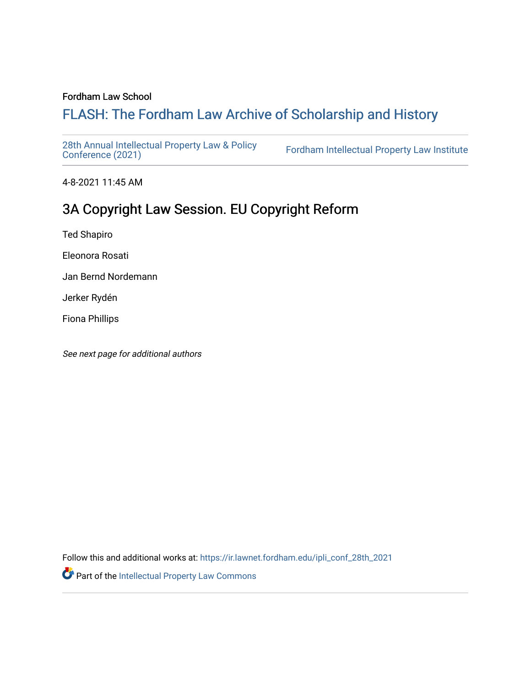### Fordham Law School

# FLASH: The For[dham Law Archive of Scholarship and Hist](https://ir.lawnet.fordham.edu/)ory

[28th Annual Intellectual Property Law & Policy](https://ir.lawnet.fordham.edu/ipli_conf_28th_2021)<br>Conference (2021)

Fordham Intellectual Property Law Institute

4-8-2021 11:45 AM

# 3A Copyright Law Session. EU Copyright Reform

Ted Shapiro

Eleonora Rosati

Jan Bernd Nordemann

Jerker Rydén

Fiona Phillips

See next page for additional authors

Follow this and additional works at: [https://ir.lawnet.fordham.edu/ipli\\_conf\\_28th\\_2021](https://ir.lawnet.fordham.edu/ipli_conf_28th_2021?utm_source=ir.lawnet.fordham.edu%2Fipli_conf_28th_2021%2F7&utm_medium=PDF&utm_campaign=PDFCoverPages) 

Part of the [Intellectual Property Law Commons](http://network.bepress.com/hgg/discipline/896?utm_source=ir.lawnet.fordham.edu%2Fipli_conf_28th_2021%2F7&utm_medium=PDF&utm_campaign=PDFCoverPages)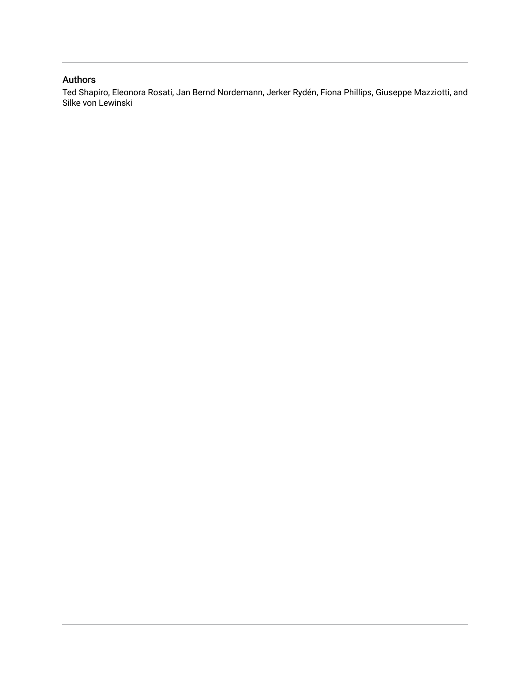### Authors

Ted Shapiro, Eleonora Rosati, Jan Bernd Nordemann, Jerker Rydén, Fiona Phillips, Giuseppe Mazziotti, and Silke von Lewinski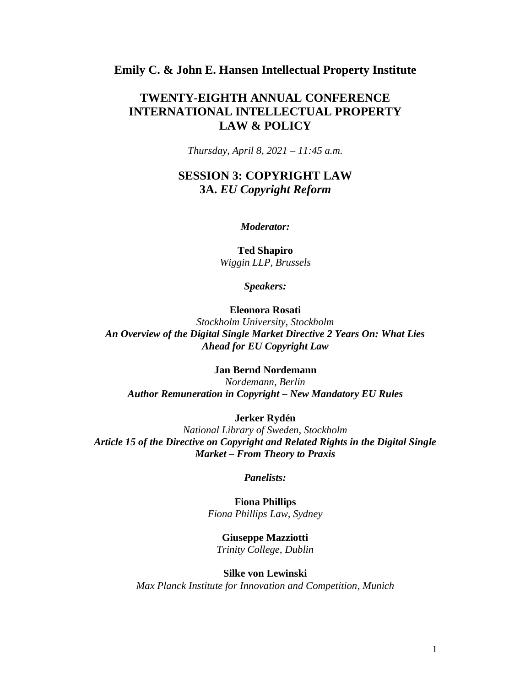### **Emily C. & John E. Hansen Intellectual Property Institute**

## **TWENTY-EIGHTH ANNUAL CONFERENCE INTERNATIONAL INTELLECTUAL PROPERTY LAW & POLICY**

*Thursday, April 8, 2021 – 11:45 a.m.*

## **SESSION 3: COPYRIGHT LAW 3A.** *EU Copyright Reform*

#### *Moderator:*

**Ted Shapiro** *Wiggin LLP, Brussels*

*Speakers:*

### **Eleonora Rosati**

*Stockholm University, Stockholm An Overview of the Digital Single Market Directive 2 Years On: What Lies Ahead for EU Copyright Law*

**Jan Bernd Nordemann**

*Nordemann, Berlin Author Remuneration in Copyright – New Mandatory EU Rules*

#### **Jerker Rydén**

*National Library of Sweden, Stockholm Article 15 of the Directive on Copyright and Related Rights in the Digital Single Market – From Theory to Praxis*

*Panelists:*

**Fiona Phillips** *Fiona Phillips Law, Sydney*

**Giuseppe Mazziotti** *Trinity College, Dublin*

#### **Silke von Lewinski**

*Max Planck Institute for Innovation and Competition, Munich*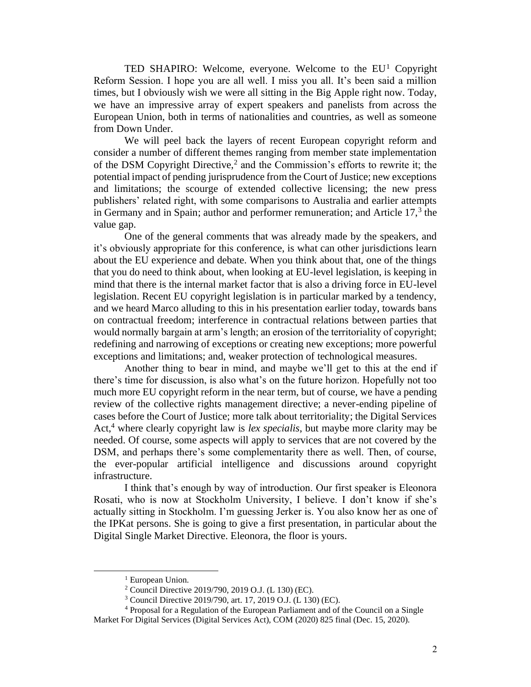TED SHAPIRO: Welcome, everyone. Welcome to the  $EU<sup>1</sup>$  Copyright Reform Session. I hope you are all well. I miss you all. It's been said a million times, but I obviously wish we were all sitting in the Big Apple right now. Today, we have an impressive array of expert speakers and panelists from across the European Union, both in terms of nationalities and countries, as well as someone from Down Under.

We will peel back the layers of recent European copyright reform and consider a number of different themes ranging from member state implementation of the DSM Copyright Directive,<sup>2</sup> and the Commission's efforts to rewrite it; the potential impact of pending jurisprudence from the Court of Justice; new exceptions and limitations; the scourge of extended collective licensing; the new press publishers' related right, with some comparisons to Australia and earlier attempts in Germany and in Spain; author and performer remuneration; and Article  $17<sup>3</sup>$ , the value gap.

One of the general comments that was already made by the speakers, and it's obviously appropriate for this conference, is what can other jurisdictions learn about the EU experience and debate. When you think about that, one of the things that you do need to think about, when looking at EU-level legislation, is keeping in mind that there is the internal market factor that is also a driving force in EU-level legislation. Recent EU copyright legislation is in particular marked by a tendency, and we heard Marco alluding to this in his presentation earlier today, towards bans on contractual freedom; interference in contractual relations between parties that would normally bargain at arm's length; an erosion of the territoriality of copyright; redefining and narrowing of exceptions or creating new exceptions; more powerful exceptions and limitations; and, weaker protection of technological measures.

Another thing to bear in mind, and maybe we'll get to this at the end if there's time for discussion, is also what's on the future horizon. Hopefully not too much more EU copyright reform in the near term, but of course, we have a pending review of the collective rights management directive; a never-ending pipeline of cases before the Court of Justice; more talk about territoriality; the Digital Services Act,<sup>4</sup> where clearly copyright law is *lex specialis*, but maybe more clarity may be needed. Of course, some aspects will apply to services that are not covered by the DSM, and perhaps there's some complementarity there as well. Then, of course, the ever-popular artificial intelligence and discussions around copyright infrastructure.

I think that's enough by way of introduction. Our first speaker is Eleonora Rosati, who is now at Stockholm University, I believe. I don't know if she's actually sitting in Stockholm. I'm guessing Jerker is. You also know her as one of the IPKat persons. She is going to give a first presentation, in particular about the Digital Single Market Directive. Eleonora, the floor is yours.

<sup>&</sup>lt;sup>1</sup> European Union.

<sup>2</sup> Council Directive 2019/790, 2019 O.J. (L 130) (EC).

<sup>3</sup> Council Directive 2019/790, art. 17, 2019 O.J. (L 130) (EC).

<sup>4</sup> Proposal for a Regulation of the European Parliament and of the Council on a Single

Market For Digital Services (Digital Services Act), COM (2020) 825 final (Dec. 15, 2020).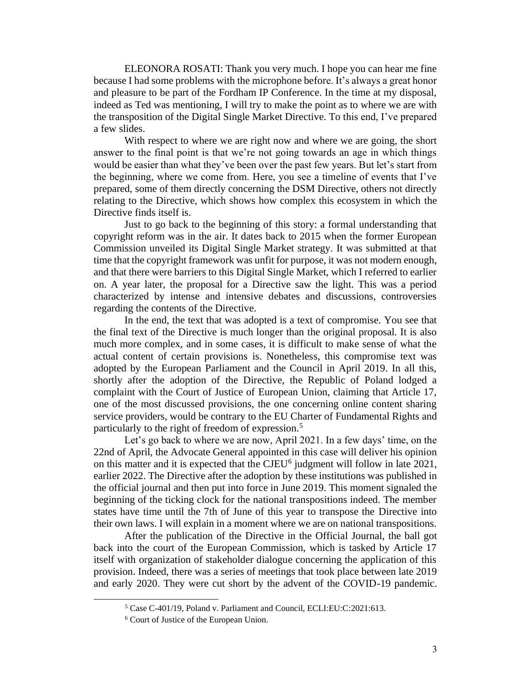ELEONORA ROSATI: Thank you very much. I hope you can hear me fine because I had some problems with the microphone before. It's always a great honor and pleasure to be part of the Fordham IP Conference. In the time at my disposal, indeed as Ted was mentioning, I will try to make the point as to where we are with the transposition of the Digital Single Market Directive. To this end, I've prepared a few slides.

With respect to where we are right now and where we are going, the short answer to the final point is that we're not going towards an age in which things would be easier than what they've been over the past few years. But let's start from the beginning, where we come from. Here, you see a timeline of events that I've prepared, some of them directly concerning the DSM Directive, others not directly relating to the Directive, which shows how complex this ecosystem in which the Directive finds itself is.

Just to go back to the beginning of this story: a formal understanding that copyright reform was in the air. It dates back to 2015 when the former European Commission unveiled its Digital Single Market strategy. It was submitted at that time that the copyright framework was unfit for purpose, it was not modern enough, and that there were barriers to this Digital Single Market, which I referred to earlier on. A year later, the proposal for a Directive saw the light. This was a period characterized by intense and intensive debates and discussions, controversies regarding the contents of the Directive.

In the end, the text that was adopted is a text of compromise. You see that the final text of the Directive is much longer than the original proposal. It is also much more complex, and in some cases, it is difficult to make sense of what the actual content of certain provisions is. Nonetheless, this compromise text was adopted by the European Parliament and the Council in April 2019. In all this, shortly after the adoption of the Directive, the Republic of Poland lodged a complaint with the Court of Justice of European Union, claiming that Article 17, one of the most discussed provisions, the one concerning online content sharing service providers, would be contrary to the EU Charter of Fundamental Rights and particularly to the right of freedom of expression.<sup>5</sup>

Let's go back to where we are now, April 2021. In a few days' time, on the 22nd of April, the Advocate General appointed in this case will deliver his opinion on this matter and it is expected that the CJEU<sup>6</sup> judgment will follow in late 2021, earlier 2022. The Directive after the adoption by these institutions was published in the official journal and then put into force in June 2019. This moment signaled the beginning of the ticking clock for the national transpositions indeed. The member states have time until the 7th of June of this year to transpose the Directive into their own laws. I will explain in a moment where we are on national transpositions.

After the publication of the Directive in the Official Journal, the ball got back into the court of the European Commission, which is tasked by Article 17 itself with organization of stakeholder dialogue concerning the application of this provision. Indeed, there was a series of meetings that took place between late 2019 and early 2020. They were cut short by the advent of the COVID-19 pandemic.

<sup>5</sup> Case C-401/19, Poland v. Parliament and Council, ECLI:EU:C:2021:613.

<sup>6</sup> Court of Justice of the European Union.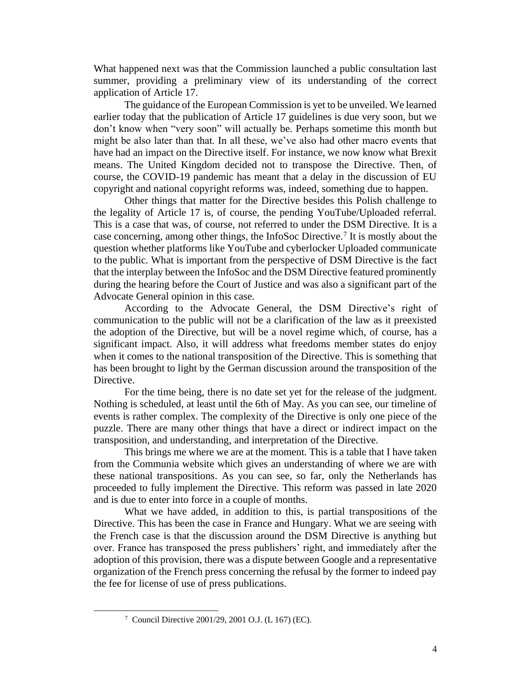What happened next was that the Commission launched a public consultation last summer, providing a preliminary view of its understanding of the correct application of Article 17.

The guidance of the European Commission is yet to be unveiled. We learned earlier today that the publication of Article 17 guidelines is due very soon, but we don't know when "very soon" will actually be. Perhaps sometime this month but might be also later than that. In all these, we've also had other macro events that have had an impact on the Directive itself. For instance, we now know what Brexit means. The United Kingdom decided not to transpose the Directive. Then, of course, the COVID-19 pandemic has meant that a delay in the discussion of EU copyright and national copyright reforms was, indeed, something due to happen.

Other things that matter for the Directive besides this Polish challenge to the legality of Article 17 is, of course, the pending YouTube/Uploaded referral. This is a case that was, of course, not referred to under the DSM Directive. It is a case concerning, among other things, the InfoSoc Directive.<sup>7</sup> It is mostly about the question whether platforms like YouTube and cyberlocker Uploaded communicate to the public. What is important from the perspective of DSM Directive is the fact that the interplay between the InfoSoc and the DSM Directive featured prominently during the hearing before the Court of Justice and was also a significant part of the Advocate General opinion in this case.

According to the Advocate General, the DSM Directive's right of communication to the public will not be a clarification of the law as it preexisted the adoption of the Directive, but will be a novel regime which, of course, has a significant impact. Also, it will address what freedoms member states do enjoy when it comes to the national transposition of the Directive. This is something that has been brought to light by the German discussion around the transposition of the Directive.

For the time being, there is no date set yet for the release of the judgment. Nothing is scheduled, at least until the 6th of May. As you can see, our timeline of events is rather complex. The complexity of the Directive is only one piece of the puzzle. There are many other things that have a direct or indirect impact on the transposition, and understanding, and interpretation of the Directive.

This brings me where we are at the moment. This is a table that I have taken from the Communia website which gives an understanding of where we are with these national transpositions. As you can see, so far, only the Netherlands has proceeded to fully implement the Directive. This reform was passed in late 2020 and is due to enter into force in a couple of months.

What we have added, in addition to this, is partial transpositions of the Directive. This has been the case in France and Hungary. What we are seeing with the French case is that the discussion around the DSM Directive is anything but over. France has transposed the press publishers' right, and immediately after the adoption of this provision, there was a dispute between Google and a representative organization of the French press concerning the refusal by the former to indeed pay the fee for license of use of press publications.

<sup>7</sup> Council Directive 2001/29, 2001 O.J. (L 167) (EC).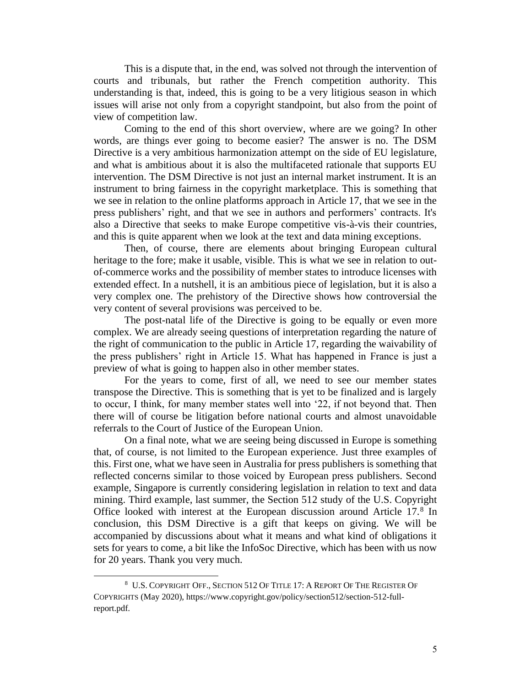This is a dispute that, in the end, was solved not through the intervention of courts and tribunals, but rather the French competition authority. This understanding is that, indeed, this is going to be a very litigious season in which issues will arise not only from a copyright standpoint, but also from the point of view of competition law.

Coming to the end of this short overview, where are we going? In other words, are things ever going to become easier? The answer is no. The DSM Directive is a very ambitious harmonization attempt on the side of EU legislature, and what is ambitious about it is also the multifaceted rationale that supports EU intervention. The DSM Directive is not just an internal market instrument. It is an instrument to bring fairness in the copyright marketplace. This is something that we see in relation to the online platforms approach in Article 17, that we see in the press publishers' right, and that we see in authors and performers' contracts. It's also a Directive that seeks to make Europe competitive vis-à-vis their countries, and this is quite apparent when we look at the text and data mining exceptions.

Then, of course, there are elements about bringing European cultural heritage to the fore; make it usable, visible. This is what we see in relation to outof-commerce works and the possibility of member states to introduce licenses with extended effect. In a nutshell, it is an ambitious piece of legislation, but it is also a very complex one. The prehistory of the Directive shows how controversial the very content of several provisions was perceived to be.

The post-natal life of the Directive is going to be equally or even more complex. We are already seeing questions of interpretation regarding the nature of the right of communication to the public in Article 17, regarding the waivability of the press publishers' right in Article 15. What has happened in France is just a preview of what is going to happen also in other member states.

For the years to come, first of all, we need to see our member states transpose the Directive. This is something that is yet to be finalized and is largely to occur, I think, for many member states well into '22, if not beyond that. Then there will of course be litigation before national courts and almost unavoidable referrals to the Court of Justice of the European Union.

On a final note, what we are seeing being discussed in Europe is something that, of course, is not limited to the European experience. Just three examples of this. First one, what we have seen in Australia for press publishers is something that reflected concerns similar to those voiced by European press publishers. Second example, Singapore is currently considering legislation in relation to text and data mining. Third example, last summer, the Section 512 study of the U.S. Copyright Office looked with interest at the European discussion around Article 17.8 In conclusion, this DSM Directive is a gift that keeps on giving. We will be accompanied by discussions about what it means and what kind of obligations it sets for years to come, a bit like the InfoSoc Directive, which has been with us now for 20 years. Thank you very much.

<sup>&</sup>lt;sup>8</sup> U.S. COPYRIGHT OFF., SECTION 512 OF TITLE 17: A REPORT OF THE REGISTER OF COPYRIGHTS (May 2020), https://www.copyright.gov/policy/section512/section-512-fullreport.pdf.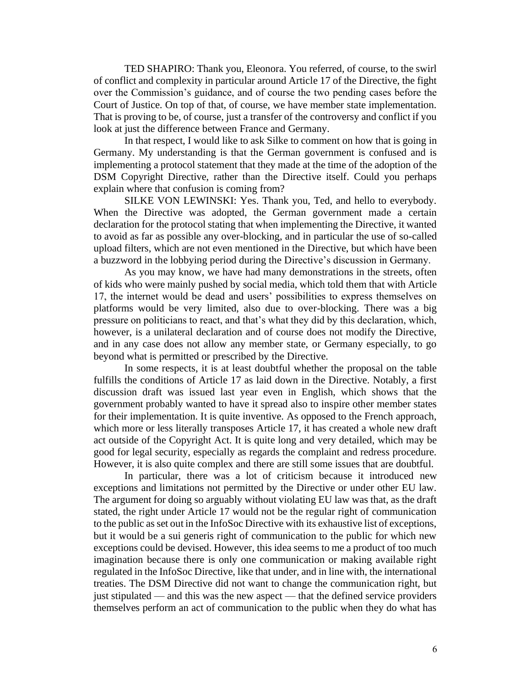TED SHAPIRO: Thank you, Eleonora. You referred, of course, to the swirl of conflict and complexity in particular around Article 17 of the Directive, the fight over the Commission's guidance, and of course the two pending cases before the Court of Justice. On top of that, of course, we have member state implementation. That is proving to be, of course, just a transfer of the controversy and conflict if you look at just the difference between France and Germany.

In that respect, I would like to ask Silke to comment on how that is going in Germany. My understanding is that the German government is confused and is implementing a protocol statement that they made at the time of the adoption of the DSM Copyright Directive, rather than the Directive itself. Could you perhaps explain where that confusion is coming from?

SILKE VON LEWINSKI: Yes. Thank you, Ted, and hello to everybody. When the Directive was adopted, the German government made a certain declaration for the protocol stating that when implementing the Directive, it wanted to avoid as far as possible any over-blocking, and in particular the use of so-called upload filters, which are not even mentioned in the Directive, but which have been a buzzword in the lobbying period during the Directive's discussion in Germany.

As you may know, we have had many demonstrations in the streets, often of kids who were mainly pushed by social media, which told them that with Article 17, the internet would be dead and users' possibilities to express themselves on platforms would be very limited, also due to over-blocking. There was a big pressure on politicians to react, and that's what they did by this declaration, which, however, is a unilateral declaration and of course does not modify the Directive, and in any case does not allow any member state, or Germany especially, to go beyond what is permitted or prescribed by the Directive.

In some respects, it is at least doubtful whether the proposal on the table fulfills the conditions of Article 17 as laid down in the Directive. Notably, a first discussion draft was issued last year even in English, which shows that the government probably wanted to have it spread also to inspire other member states for their implementation. It is quite inventive. As opposed to the French approach, which more or less literally transposes Article 17, it has created a whole new draft act outside of the Copyright Act. It is quite long and very detailed, which may be good for legal security, especially as regards the complaint and redress procedure. However, it is also quite complex and there are still some issues that are doubtful.

In particular, there was a lot of criticism because it introduced new exceptions and limitations not permitted by the Directive or under other EU law. The argument for doing so arguably without violating EU law was that, as the draft stated, the right under Article 17 would not be the regular right of communication to the public as set out in the InfoSoc Directive with its exhaustive list of exceptions, but it would be a sui generis right of communication to the public for which new exceptions could be devised. However, this idea seems to me a product of too much imagination because there is only one communication or making available right regulated in the InfoSoc Directive, like that under, and in line with, the international treaties. The DSM Directive did not want to change the communication right, but just stipulated — and this was the new aspect — that the defined service providers themselves perform an act of communication to the public when they do what has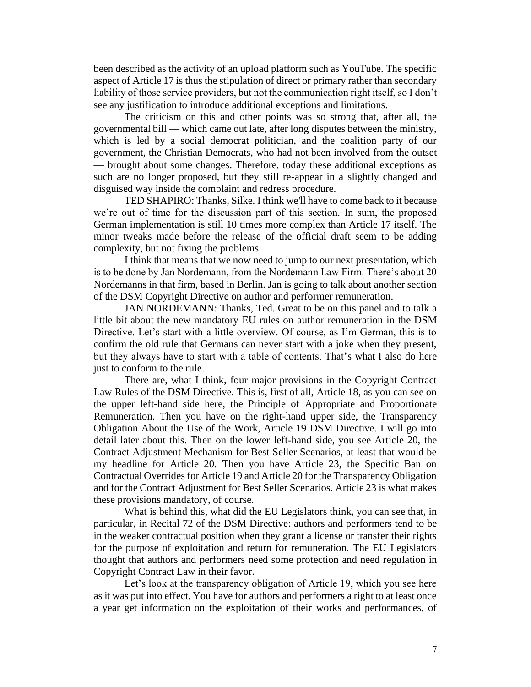been described as the activity of an upload platform such as YouTube. The specific aspect of Article 17 is thus the stipulation of direct or primary rather than secondary liability of those service providers, but not the communication right itself, so I don't see any justification to introduce additional exceptions and limitations.

The criticism on this and other points was so strong that, after all, the governmental bill — which came out late, after long disputes between the ministry, which is led by a social democrat politician, and the coalition party of our government, the Christian Democrats, who had not been involved from the outset — brought about some changes. Therefore, today these additional exceptions as such are no longer proposed, but they still re-appear in a slightly changed and disguised way inside the complaint and redress procedure.

TED SHAPIRO: Thanks, Silke. I think we'll have to come back to it because we're out of time for the discussion part of this section. In sum, the proposed German implementation is still 10 times more complex than Article 17 itself. The minor tweaks made before the release of the official draft seem to be adding complexity, but not fixing the problems.

I think that means that we now need to jump to our next presentation, which is to be done by Jan Nordemann, from the Nordemann Law Firm. There's about 20 Nordemanns in that firm, based in Berlin. Jan is going to talk about another section of the DSM Copyright Directive on author and performer remuneration.

JAN NORDEMANN: Thanks, Ted. Great to be on this panel and to talk a little bit about the new mandatory EU rules on author remuneration in the DSM Directive. Let's start with a little overview. Of course, as I'm German, this is to confirm the old rule that Germans can never start with a joke when they present, but they always have to start with a table of contents. That's what I also do here just to conform to the rule.

There are, what I think, four major provisions in the Copyright Contract Law Rules of the DSM Directive. This is, first of all, Article 18, as you can see on the upper left-hand side here, the Principle of Appropriate and Proportionate Remuneration. Then you have on the right-hand upper side, the Transparency Obligation About the Use of the Work, Article 19 DSM Directive. I will go into detail later about this. Then on the lower left-hand side, you see Article 20, the Contract Adjustment Mechanism for Best Seller Scenarios, at least that would be my headline for Article 20. Then you have Article 23, the Specific Ban on Contractual Overrides for Article 19 and Article 20 for the Transparency Obligation and for the Contract Adjustment for Best Seller Scenarios. Article 23 is what makes these provisions mandatory, of course.

What is behind this, what did the EU Legislators think, you can see that, in particular, in Recital 72 of the DSM Directive: authors and performers tend to be in the weaker contractual position when they grant a license or transfer their rights for the purpose of exploitation and return for remuneration. The EU Legislators thought that authors and performers need some protection and need regulation in Copyright Contract Law in their favor.

Let's look at the transparency obligation of Article 19, which you see here as it was put into effect. You have for authors and performers a right to at least once a year get information on the exploitation of their works and performances, of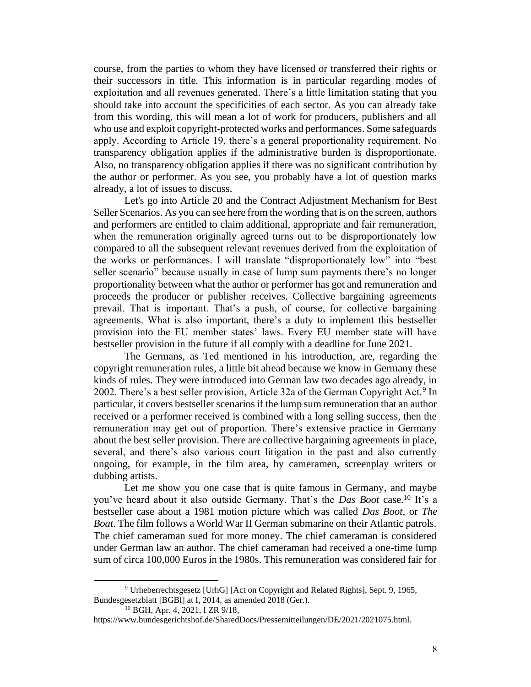course, from the parties to whom they have licensed or transferred their rights or their successors in title. This information is in particular regarding modes of exploitation and all revenues generated. There's a little limitation stating that you should take into account the specificities of each sector. As you can already take from this wording, this will mean a lot of work for producers, publishers and all who use and exploit copyright-protected works and performances. Some safeguards apply. According to Article 19, there's a general proportionality requirement. No transparency obligation applies if the administrative burden is disproportionate. Also, no transparency obligation applies if there was no significant contribution by the author or performer. As you see, you probably have a lot of question marks already, a lot of issues to discuss.

Let's go into Article 20 and the Contract Adjustment Mechanism for Best Seller Scenarios. As you can see here from the wording that is on the screen, authors and performers are entitled to claim additional, appropriate and fair remuneration, when the remuneration originally agreed turns out to be disproportionately low compared to all the subsequent relevant revenues derived from the exploitation of the works or performances. I will translate "disproportionately low" into "best seller scenario" because usually in case of lump sum payments there's no longer proportionality between what the author or performer has got and remuneration and proceeds the producer or publisher receives. Collective bargaining agreements prevail. That is important. That's a push, of course, for collective bargaining agreements. What is also important, there's a duty to implement this bestseller provision into the EU member states' laws. Every EU member state will have bestseller provision in the future if all comply with a deadline for June 2021.

The Germans, as Ted mentioned in his introduction, are, regarding the copyright remuneration rules, a little bit ahead because we know in Germany these kinds of rules. They were introduced into German law two decades ago already, in 2002. There's a best seller provision, Article 32a of the German Copyright Act.<sup>9</sup> In particular, it covers bestseller scenarios if the lump sum remuneration that an author received or a performer received is combined with a long selling success, then the remuneration may get out of proportion. There's extensive practice in Germany about the best seller provision. There are collective bargaining agreements in place, several, and there's also various court litigation in the past and also currently ongoing, for example, in the film area, by cameramen, screenplay writers or dubbing artists.

Let me show you one case that is quite famous in Germany, and maybe you've heard about it also outside Germany. That's the *Das Boot* case.<sup>10</sup> It's a bestseller case about a 1981 motion picture which was called *Das Boot,* or *The Boat*. The film follows a World War II German submarine on their Atlantic patrols. The chief cameraman sued for more money. The chief cameraman is considered under German law an author. The chief cameraman had received a one-time lump sum of circa 100,000 Euros in the 1980s. This remuneration was considered fair for

<sup>9</sup> Urheberrechtsgesetz [UrhG] [Act on Copyright and Related Rights], Sept. 9, 1965, Bundesgesetzblatt [BGBl] at I, 2014, as amended 2018 (Ger.).

<sup>10</sup> BGH, Apr. 4, 2021, I ZR 9/18,

https://www.bundesgerichtshof.de/SharedDocs/Pressemitteilungen/DE/2021/2021075.html.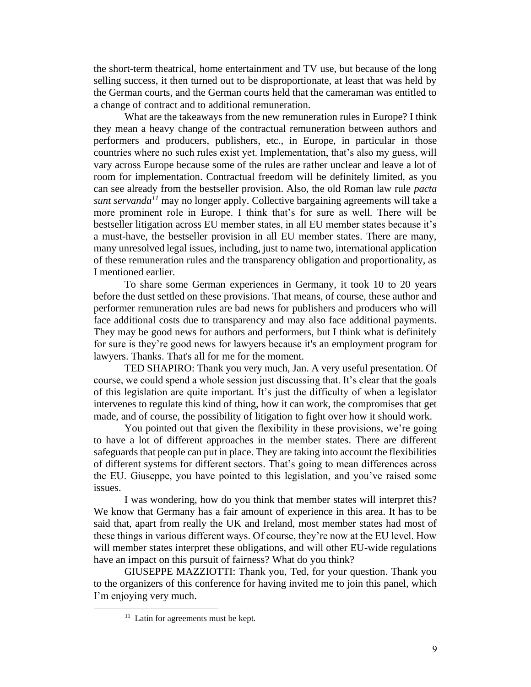the short-term theatrical, home entertainment and TV use, but because of the long selling success, it then turned out to be disproportionate, at least that was held by the German courts, and the German courts held that the cameraman was entitled to a change of contract and to additional remuneration.

What are the takeaways from the new remuneration rules in Europe? I think they mean a heavy change of the contractual remuneration between authors and performers and producers, publishers, etc., in Europe, in particular in those countries where no such rules exist yet. Implementation, that's also my guess, will vary across Europe because some of the rules are rather unclear and leave a lot of room for implementation. Contractual freedom will be definitely limited, as you can see already from the bestseller provision. Also, the old Roman law rule *pacta sunt servanda<sup>11</sup>* may no longer apply. Collective bargaining agreements will take a more prominent role in Europe. I think that's for sure as well. There will be bestseller litigation across EU member states, in all EU member states because it's a must-have, the bestseller provision in all EU member states. There are many, many unresolved legal issues, including, just to name two, international application of these remuneration rules and the transparency obligation and proportionality, as I mentioned earlier.

To share some German experiences in Germany, it took 10 to 20 years before the dust settled on these provisions. That means, of course, these author and performer remuneration rules are bad news for publishers and producers who will face additional costs due to transparency and may also face additional payments. They may be good news for authors and performers, but I think what is definitely for sure is they're good news for lawyers because it's an employment program for lawyers. Thanks. That's all for me for the moment.

TED SHAPIRO: Thank you very much, Jan. A very useful presentation. Of course, we could spend a whole session just discussing that. It's clear that the goals of this legislation are quite important. It's just the difficulty of when a legislator intervenes to regulate this kind of thing, how it can work, the compromises that get made, and of course, the possibility of litigation to fight over how it should work.

You pointed out that given the flexibility in these provisions, we're going to have a lot of different approaches in the member states. There are different safeguards that people can put in place. They are taking into account the flexibilities of different systems for different sectors. That's going to mean differences across the EU. Giuseppe, you have pointed to this legislation, and you've raised some issues.

I was wondering, how do you think that member states will interpret this? We know that Germany has a fair amount of experience in this area. It has to be said that, apart from really the UK and Ireland, most member states had most of these things in various different ways. Of course, they're now at the EU level. How will member states interpret these obligations, and will other EU-wide regulations have an impact on this pursuit of fairness? What do you think?

GIUSEPPE MAZZIOTTI: Thank you, Ted, for your question. Thank you to the organizers of this conference for having invited me to join this panel, which I'm enjoying very much.

<sup>&</sup>lt;sup>11</sup> Latin for agreements must be kept.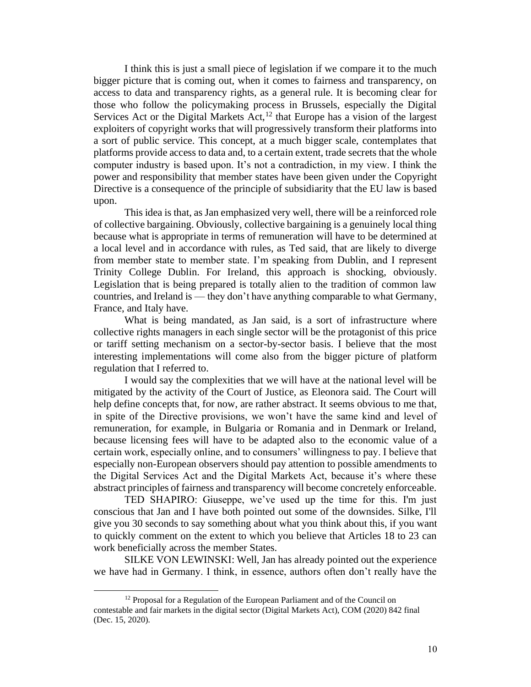I think this is just a small piece of legislation if we compare it to the much bigger picture that is coming out, when it comes to fairness and transparency, on access to data and transparency rights, as a general rule. It is becoming clear for those who follow the policymaking process in Brussels, especially the Digital Services Act or the Digital Markets Act,<sup>12</sup> that Europe has a vision of the largest exploiters of copyright works that will progressively transform their platforms into a sort of public service. This concept, at a much bigger scale, contemplates that platforms provide access to data and, to a certain extent, trade secrets that the whole computer industry is based upon. It's not a contradiction, in my view. I think the power and responsibility that member states have been given under the Copyright Directive is a consequence of the principle of subsidiarity that the EU law is based upon.

This idea is that, as Jan emphasized very well, there will be a reinforced role of collective bargaining. Obviously, collective bargaining is a genuinely local thing because what is appropriate in terms of remuneration will have to be determined at a local level and in accordance with rules, as Ted said, that are likely to diverge from member state to member state. I'm speaking from Dublin, and I represent Trinity College Dublin. For Ireland, this approach is shocking, obviously. Legislation that is being prepared is totally alien to the tradition of common law countries, and Ireland is — they don't have anything comparable to what Germany, France, and Italy have.

What is being mandated, as Jan said, is a sort of infrastructure where collective rights managers in each single sector will be the protagonist of this price or tariff setting mechanism on a sector-by-sector basis. I believe that the most interesting implementations will come also from the bigger picture of platform regulation that I referred to.

I would say the complexities that we will have at the national level will be mitigated by the activity of the Court of Justice, as Eleonora said. The Court will help define concepts that, for now, are rather abstract. It seems obvious to me that, in spite of the Directive provisions, we won't have the same kind and level of remuneration, for example, in Bulgaria or Romania and in Denmark or Ireland, because licensing fees will have to be adapted also to the economic value of a certain work, especially online, and to consumers' willingness to pay. I believe that especially non-European observers should pay attention to possible amendments to the Digital Services Act and the Digital Markets Act, because it's where these abstract principles of fairness and transparency will become concretely enforceable.

TED SHAPIRO: Giuseppe, we've used up the time for this. I'm just conscious that Jan and I have both pointed out some of the downsides. Silke, I'll give you 30 seconds to say something about what you think about this, if you want to quickly comment on the extent to which you believe that Articles 18 to 23 can work beneficially across the member States.

SILKE VON LEWINSKI: Well, Jan has already pointed out the experience we have had in Germany. I think, in essence, authors often don't really have the

<sup>&</sup>lt;sup>12</sup> Proposal for a Regulation of the European Parliament and of the Council on contestable and fair markets in the digital sector (Digital Markets Act), COM (2020) 842 final (Dec. 15, 2020).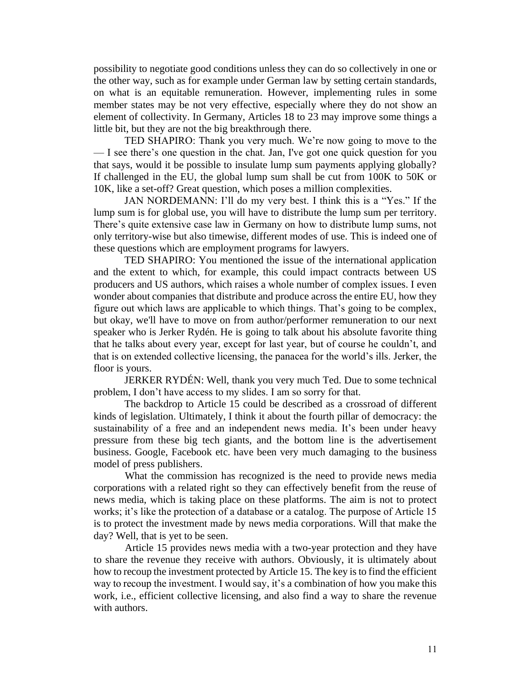possibility to negotiate good conditions unless they can do so collectively in one or the other way, such as for example under German law by setting certain standards, on what is an equitable remuneration. However, implementing rules in some member states may be not very effective, especially where they do not show an element of collectivity. In Germany, Articles 18 to 23 may improve some things a little bit, but they are not the big breakthrough there.

TED SHAPIRO: Thank you very much. We're now going to move to the — I see there's one question in the chat. Jan, I've got one quick question for you that says, would it be possible to insulate lump sum payments applying globally? If challenged in the EU, the global lump sum shall be cut from 100K to 50K or 10K, like a set-off? Great question, which poses a million complexities.

JAN NORDEMANN: I'll do my very best. I think this is a "Yes." If the lump sum is for global use, you will have to distribute the lump sum per territory. There's quite extensive case law in Germany on how to distribute lump sums, not only territory-wise but also timewise, different modes of use. This is indeed one of these questions which are employment programs for lawyers.

TED SHAPIRO: You mentioned the issue of the international application and the extent to which, for example, this could impact contracts between US producers and US authors, which raises a whole number of complex issues. I even wonder about companies that distribute and produce across the entire EU, how they figure out which laws are applicable to which things. That's going to be complex, but okay, we'll have to move on from author/performer remuneration to our next speaker who is Jerker Rydén. He is going to talk about his absolute favorite thing that he talks about every year, except for last year, but of course he couldn't, and that is on extended collective licensing, the panacea for the world's ills. Jerker, the floor is yours.

JERKER RYDÉN: Well, thank you very much Ted. Due to some technical problem, I don't have access to my slides. I am so sorry for that.

The backdrop to Article 15 could be described as a crossroad of different kinds of legislation. Ultimately, I think it about the fourth pillar of democracy: the sustainability of a free and an independent news media. It's been under heavy pressure from these big tech giants, and the bottom line is the advertisement business. Google, Facebook etc. have been very much damaging to the business model of press publishers.

What the commission has recognized is the need to provide news media corporations with a related right so they can effectively benefit from the reuse of news media, which is taking place on these platforms. The aim is not to protect works; it's like the protection of a database or a catalog. The purpose of Article 15 is to protect the investment made by news media corporations. Will that make the day? Well, that is yet to be seen.

Article 15 provides news media with a two-year protection and they have to share the revenue they receive with authors. Obviously, it is ultimately about how to recoup the investment protected by Article 15. The key is to find the efficient way to recoup the investment. I would say, it's a combination of how you make this work, i.e., efficient collective licensing, and also find a way to share the revenue with authors.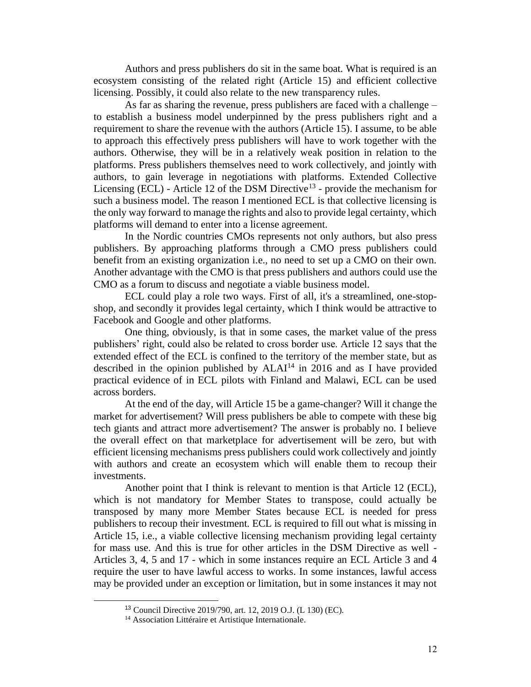Authors and press publishers do sit in the same boat. What is required is an ecosystem consisting of the related right (Article 15) and efficient collective licensing. Possibly, it could also relate to the new transparency rules.

As far as sharing the revenue, press publishers are faced with a challenge – to establish a business model underpinned by the press publishers right and a requirement to share the revenue with the authors (Article 15). I assume, to be able to approach this effectively press publishers will have to work together with the authors. Otherwise, they will be in a relatively weak position in relation to the platforms. Press publishers themselves need to work collectively, and jointly with authors, to gain leverage in negotiations with platforms. Extended Collective Licensing (ECL) - Article 12 of the DSM Directive<sup>13</sup> - provide the mechanism for such a business model. The reason I mentioned ECL is that collective licensing is the only way forward to manage the rights and also to provide legal certainty, which platforms will demand to enter into a license agreement.

In the Nordic countries CMOs represents not only authors, but also press publishers. By approaching platforms through a CMO press publishers could benefit from an existing organization i.e., no need to set up a CMO on their own. Another advantage with the CMO is that press publishers and authors could use the CMO as a forum to discuss and negotiate a viable business model.

ECL could play a role two ways. First of all, it's a streamlined, one-stopshop, and secondly it provides legal certainty, which I think would be attractive to Facebook and Google and other platforms.

One thing, obviously, is that in some cases, the market value of the press publishers' right, could also be related to cross border use. Article 12 says that the extended effect of the ECL is confined to the territory of the member state, but as described in the opinion published by  $ALAI<sup>14</sup>$  in 2016 and as I have provided practical evidence of in ECL pilots with Finland and Malawi, ECL can be used across borders.

At the end of the day, will Article 15 be a game-changer? Will it change the market for advertisement? Will press publishers be able to compete with these big tech giants and attract more advertisement? The answer is probably no. I believe the overall effect on that marketplace for advertisement will be zero, but with efficient licensing mechanisms press publishers could work collectively and jointly with authors and create an ecosystem which will enable them to recoup their investments.

Another point that I think is relevant to mention is that Article 12 (ECL), which is not mandatory for Member States to transpose, could actually be transposed by many more Member States because ECL is needed for press publishers to recoup their investment. ECL is required to fill out what is missing in Article 15, i.e., a viable collective licensing mechanism providing legal certainty for mass use. And this is true for other articles in the DSM Directive as well - Articles 3, 4, 5 and 17 - which in some instances require an ECL Article 3 and 4 require the user to have lawful access to works. In some instances, lawful access may be provided under an exception or limitation, but in some instances it may not

<sup>13</sup> Council Directive 2019/790, art. 12, 2019 O.J. (L 130) (EC).

<sup>&</sup>lt;sup>14</sup> Association Littéraire et Artistique Internationale.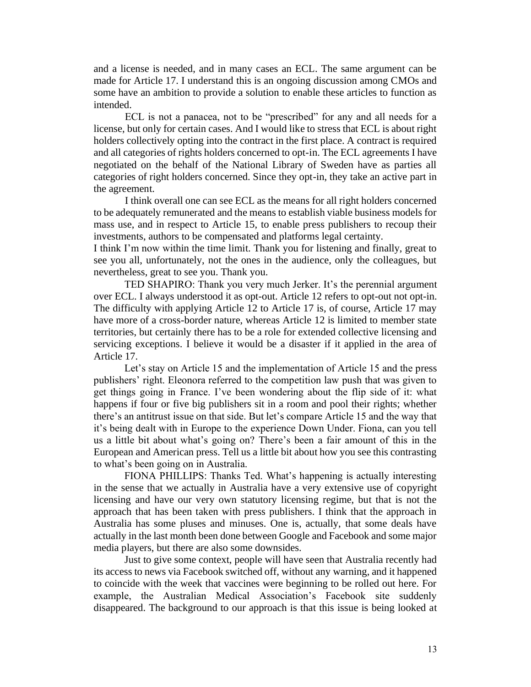and a license is needed, and in many cases an ECL. The same argument can be made for Article 17. I understand this is an ongoing discussion among CMOs and some have an ambition to provide a solution to enable these articles to function as intended.

ECL is not a panacea, not to be "prescribed" for any and all needs for a license, but only for certain cases. And I would like to stress that ECL is about right holders collectively opting into the contract in the first place. A contract is required and all categories of rights holders concerned to opt-in. The ECL agreements I have negotiated on the behalf of the National Library of Sweden have as parties all categories of right holders concerned. Since they opt-in, they take an active part in the agreement.

I think overall one can see ECL as the means for all right holders concerned to be adequately remunerated and the means to establish viable business models for mass use, and in respect to Article 15, to enable press publishers to recoup their investments, authors to be compensated and platforms legal certainty.

I think I'm now within the time limit. Thank you for listening and finally, great to see you all, unfortunately, not the ones in the audience, only the colleagues, but nevertheless, great to see you. Thank you.

TED SHAPIRO: Thank you very much Jerker. It's the perennial argument over ECL. I always understood it as opt-out. Article 12 refers to opt-out not opt-in. The difficulty with applying Article 12 to Article 17 is, of course, Article 17 may have more of a cross-border nature, whereas Article 12 is limited to member state territories, but certainly there has to be a role for extended collective licensing and servicing exceptions. I believe it would be a disaster if it applied in the area of Article 17.

Let's stay on Article 15 and the implementation of Article 15 and the press publishers' right. Eleonora referred to the competition law push that was given to get things going in France. I've been wondering about the flip side of it: what happens if four or five big publishers sit in a room and pool their rights; whether there's an antitrust issue on that side. But let's compare Article 15 and the way that it's being dealt with in Europe to the experience Down Under. Fiona, can you tell us a little bit about what's going on? There's been a fair amount of this in the European and American press. Tell us a little bit about how you see this contrasting to what's been going on in Australia.

FIONA PHILLIPS: Thanks Ted. What's happening is actually interesting in the sense that we actually in Australia have a very extensive use of copyright licensing and have our very own statutory licensing regime, but that is not the approach that has been taken with press publishers. I think that the approach in Australia has some pluses and minuses. One is, actually, that some deals have actually in the last month been done between Google and Facebook and some major media players, but there are also some downsides.

Just to give some context, people will have seen that Australia recently had its access to news via Facebook switched off, without any warning, and it happened to coincide with the week that vaccines were beginning to be rolled out here. For example, the Australian Medical Association's Facebook site suddenly disappeared. The background to our approach is that this issue is being looked at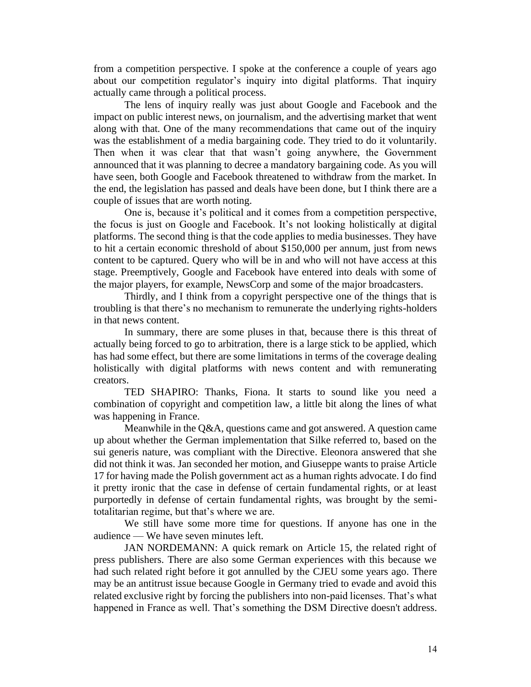from a competition perspective. I spoke at the conference a couple of years ago about our competition regulator's inquiry into digital platforms. That inquiry actually came through a political process.

The lens of inquiry really was just about Google and Facebook and the impact on public interest news, on journalism, and the advertising market that went along with that. One of the many recommendations that came out of the inquiry was the establishment of a media bargaining code. They tried to do it voluntarily. Then when it was clear that that wasn't going anywhere, the Government announced that it was planning to decree a mandatory bargaining code. As you will have seen, both Google and Facebook threatened to withdraw from the market. In the end, the legislation has passed and deals have been done, but I think there are a couple of issues that are worth noting.

One is, because it's political and it comes from a competition perspective, the focus is just on Google and Facebook. It's not looking holistically at digital platforms. The second thing is that the code applies to media businesses. They have to hit a certain economic threshold of about \$150,000 per annum, just from news content to be captured. Query who will be in and who will not have access at this stage. Preemptively, Google and Facebook have entered into deals with some of the major players, for example, NewsCorp and some of the major broadcasters.

Thirdly, and I think from a copyright perspective one of the things that is troubling is that there's no mechanism to remunerate the underlying rights-holders in that news content.

In summary, there are some pluses in that, because there is this threat of actually being forced to go to arbitration, there is a large stick to be applied, which has had some effect, but there are some limitations in terms of the coverage dealing holistically with digital platforms with news content and with remunerating creators.

TED SHAPIRO: Thanks, Fiona. It starts to sound like you need a combination of copyright and competition law, a little bit along the lines of what was happening in France.

Meanwhile in the Q&A, questions came and got answered. A question came up about whether the German implementation that Silke referred to, based on the sui generis nature, was compliant with the Directive. Eleonora answered that she did not think it was. Jan seconded her motion, and Giuseppe wants to praise Article 17 for having made the Polish government act as a human rights advocate. I do find it pretty ironic that the case in defense of certain fundamental rights, or at least purportedly in defense of certain fundamental rights, was brought by the semitotalitarian regime, but that's where we are.

We still have some more time for questions. If anyone has one in the audience — We have seven minutes left.

JAN NORDEMANN: A quick remark on Article 15, the related right of press publishers. There are also some German experiences with this because we had such related right before it got annulled by the CJEU some years ago. There may be an antitrust issue because Google in Germany tried to evade and avoid this related exclusive right by forcing the publishers into non-paid licenses. That's what happened in France as well. That's something the DSM Directive doesn't address.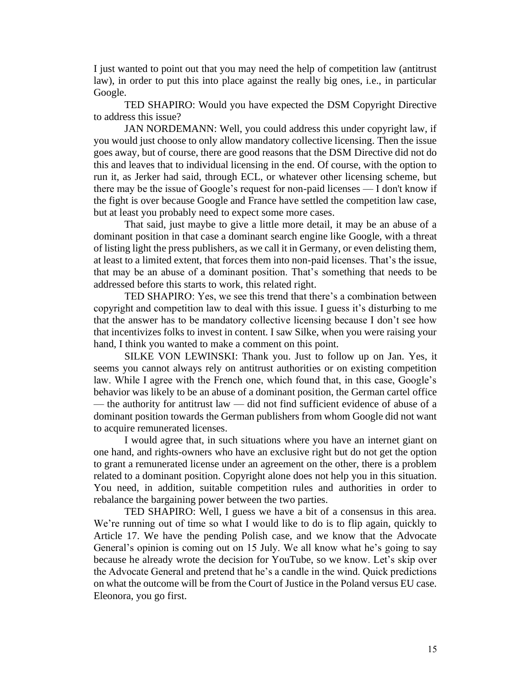I just wanted to point out that you may need the help of competition law (antitrust law), in order to put this into place against the really big ones, i.e., in particular Google.

TED SHAPIRO: Would you have expected the DSM Copyright Directive to address this issue?

JAN NORDEMANN: Well, you could address this under copyright law, if you would just choose to only allow mandatory collective licensing. Then the issue goes away, but of course, there are good reasons that the DSM Directive did not do this and leaves that to individual licensing in the end. Of course, with the option to run it, as Jerker had said, through ECL, or whatever other licensing scheme, but there may be the issue of Google's request for non-paid licenses — I don't know if the fight is over because Google and France have settled the competition law case, but at least you probably need to expect some more cases.

That said, just maybe to give a little more detail, it may be an abuse of a dominant position in that case a dominant search engine like Google, with a threat of listing light the press publishers, as we call it in Germany, or even delisting them, at least to a limited extent, that forces them into non-paid licenses. That's the issue, that may be an abuse of a dominant position. That's something that needs to be addressed before this starts to work, this related right.

TED SHAPIRO: Yes, we see this trend that there's a combination between copyright and competition law to deal with this issue. I guess it's disturbing to me that the answer has to be mandatory collective licensing because I don't see how that incentivizes folks to invest in content. I saw Silke, when you were raising your hand, I think you wanted to make a comment on this point.

SILKE VON LEWINSKI: Thank you. Just to follow up on Jan. Yes, it seems you cannot always rely on antitrust authorities or on existing competition law. While I agree with the French one, which found that, in this case, Google's behavior was likely to be an abuse of a dominant position, the German cartel office — the authority for antitrust law — did not find sufficient evidence of abuse of a dominant position towards the German publishers from whom Google did not want to acquire remunerated licenses.

I would agree that, in such situations where you have an internet giant on one hand, and rights-owners who have an exclusive right but do not get the option to grant a remunerated license under an agreement on the other, there is a problem related to a dominant position. Copyright alone does not help you in this situation. You need, in addition, suitable competition rules and authorities in order to rebalance the bargaining power between the two parties.

TED SHAPIRO: Well, I guess we have a bit of a consensus in this area. We're running out of time so what I would like to do is to flip again, quickly to Article 17. We have the pending Polish case, and we know that the Advocate General's opinion is coming out on 15 July. We all know what he's going to say because he already wrote the decision for YouTube, so we know. Let's skip over the Advocate General and pretend that he's a candle in the wind. Quick predictions on what the outcome will be from the Court of Justice in the Poland versus EU case. Eleonora, you go first.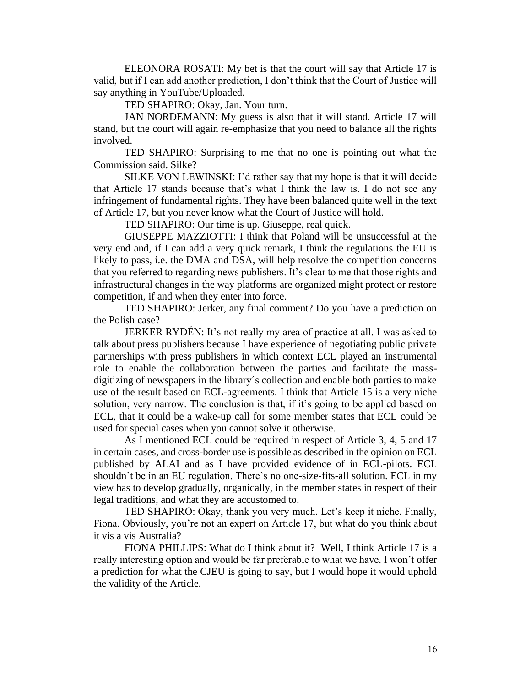ELEONORA ROSATI: My bet is that the court will say that Article 17 is valid, but if I can add another prediction, I don't think that the Court of Justice will say anything in YouTube/Uploaded.

TED SHAPIRO: Okay, Jan. Your turn.

JAN NORDEMANN: My guess is also that it will stand. Article 17 will stand, but the court will again re-emphasize that you need to balance all the rights involved.

TED SHAPIRO: Surprising to me that no one is pointing out what the Commission said. Silke?

SILKE VON LEWINSKI: I'd rather say that my hope is that it will decide that Article 17 stands because that's what I think the law is. I do not see any infringement of fundamental rights. They have been balanced quite well in the text of Article 17, but you never know what the Court of Justice will hold.

TED SHAPIRO: Our time is up. Giuseppe, real quick.

GIUSEPPE MAZZIOTTI: I think that Poland will be unsuccessful at the very end and, if I can add a very quick remark, I think the regulations the EU is likely to pass, i.e. the DMA and DSA, will help resolve the competition concerns that you referred to regarding news publishers. It's clear to me that those rights and infrastructural changes in the way platforms are organized might protect or restore competition, if and when they enter into force.

TED SHAPIRO: Jerker, any final comment? Do you have a prediction on the Polish case?

JERKER RYDÉN: It's not really my area of practice at all. I was asked to talk about press publishers because I have experience of negotiating public private partnerships with press publishers in which context ECL played an instrumental role to enable the collaboration between the parties and facilitate the massdigitizing of newspapers in the library´s collection and enable both parties to make use of the result based on ECL-agreements. I think that Article 15 is a very niche solution, very narrow. The conclusion is that, if it's going to be applied based on ECL, that it could be a wake-up call for some member states that ECL could be used for special cases when you cannot solve it otherwise.

As I mentioned ECL could be required in respect of Article 3, 4, 5 and 17 in certain cases, and cross-border use is possible as described in the opinion on ECL published by ALAI and as I have provided evidence of in ECL-pilots. ECL shouldn't be in an EU regulation. There's no one-size-fits-all solution. ECL in my view has to develop gradually, organically, in the member states in respect of their legal traditions, and what they are accustomed to.

TED SHAPIRO: Okay, thank you very much. Let's keep it niche. Finally, Fiona. Obviously, you're not an expert on Article 17, but what do you think about it vis a vis Australia?

FIONA PHILLIPS: What do I think about it? Well, I think Article 17 is a really interesting option and would be far preferable to what we have. I won't offer a prediction for what the CJEU is going to say, but I would hope it would uphold the validity of the Article.